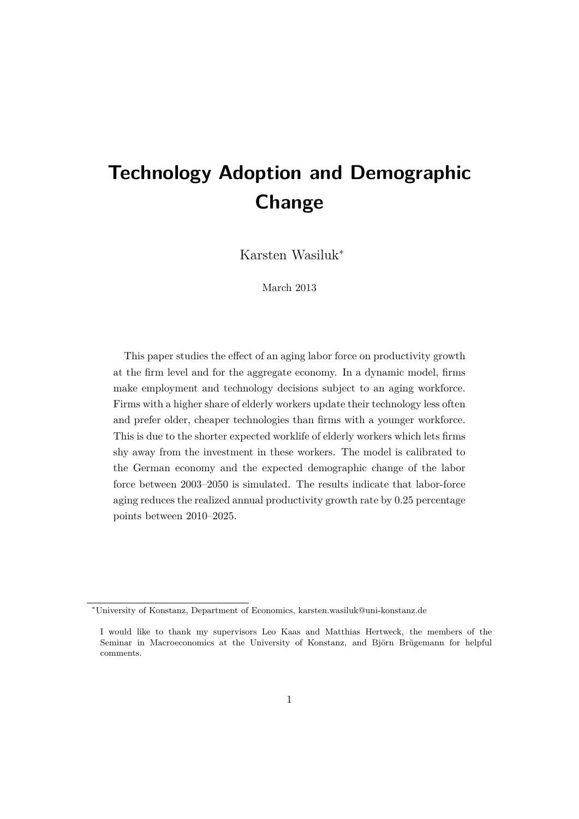# <span id="page-0-0"></span>**Technology Adoption and Demographic Change**

Karsten Wasiluk<sup>∗</sup>

March 2013

This paper studies the effect of an aging labor force on productivity growth at the firm level and for the aggregate economy. In a dynamic model, firms make employment and technology decisions subject to an aging workforce. Firms with a higher share of elderly workers update their technology less often and prefer older, cheaper technologies than firms with a younger workforce. This is due to the shorter expected worklife of elderly workers which lets firms shy away from the investment in these workers. The model is calibrated to the German economy and the expected demographic change of the labor force between 2003–2050 is simulated. The results indicate that labor-force aging reduces the realized annual productivity growth rate by 0.25 percentage points between 2010–2025.

<sup>∗</sup>University of Konstanz, Department of Economics, karsten.wasiluk@uni-konstanz.de

I would like to thank my supervisors Leo Kaas and Matthias Hertweck, the members of the Seminar in Macroeconomics at the University of Konstanz, and Björn Brügemann for helpful comments.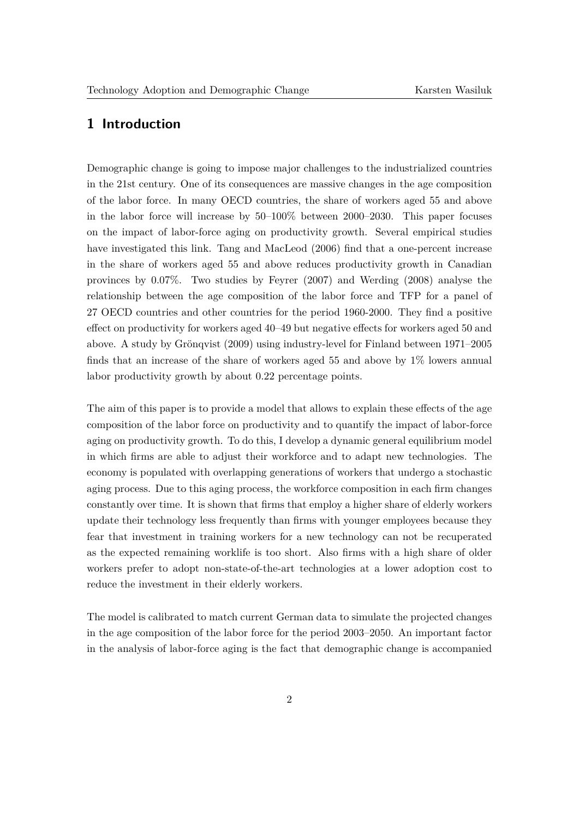# **1 Introduction**

Demographic change is going to impose major challenges to the industrialized countries in the 21st century. One of its consequences are massive changes in the age composition of the labor force. In many OECD countries, the share of workers aged 55 and above in the labor force will increase by 50–100% between 2000–2030. This paper focuses on the impact of labor-force aging on productivity growth. Several empirical studies have investigated this link. [Tang and MacLeod](#page-27-0) [\(2006\)](#page-27-0) find that a one-percent increase in the share of workers aged 55 and above reduces productivity growth in Canadian provinces by 0.07%. Two studies by [Feyrer](#page-26-0) [\(2007\)](#page-26-0) and [Werding](#page-28-0) [\(2008\)](#page-28-0) analyse the relationship between the age composition of the labor force and TFP for a panel of 27 OECD countries and other countries for the period 1960-2000. They find a positive effect on productivity for workers aged 40–49 but negative effects for workers aged 50 and above. A study by Grönqvist [\(2009\)](#page-26-1) using industry-level for Finland between 1971–2005 finds that an increase of the share of workers aged 55 and above by  $1\%$  lowers annual labor productivity growth by about 0.22 percentage points.

The aim of this paper is to provide a model that allows to explain these effects of the age composition of the labor force on productivity and to quantify the impact of labor-force aging on productivity growth. To do this, I develop a dynamic general equilibrium model in which firms are able to adjust their workforce and to adapt new technologies. The economy is populated with overlapping generations of workers that undergo a stochastic aging process. Due to this aging process, the workforce composition in each firm changes constantly over time. It is shown that firms that employ a higher share of elderly workers update their technology less frequently than firms with younger employees because they fear that investment in training workers for a new technology can not be recuperated as the expected remaining worklife is too short. Also firms with a high share of older workers prefer to adopt non-state-of-the-art technologies at a lower adoption cost to reduce the investment in their elderly workers.

The model is calibrated to match current German data to simulate the projected changes in the age composition of the labor force for the period 2003–2050. An important factor in the analysis of labor-force aging is the fact that demographic change is accompanied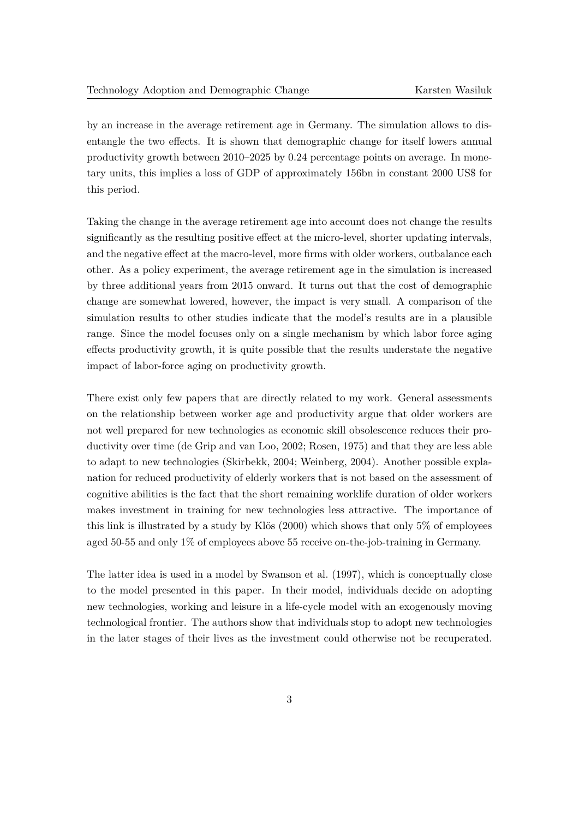by an increase in the average retirement age in Germany. The simulation allows to disentangle the two effects. It is shown that demographic change for itself lowers annual productivity growth between 2010–2025 by 0.24 percentage points on average. In monetary units, this implies a loss of GDP of approximately 156bn in constant 2000 US\$ for this period.

Taking the change in the average retirement age into account does not change the results significantly as the resulting positive effect at the micro-level, shorter updating intervals, and the negative effect at the macro-level, more firms with older workers, outbalance each other. As a policy experiment, the average retirement age in the simulation is increased by three additional years from 2015 onward. It turns out that the cost of demographic change are somewhat lowered, however, the impact is very small. A comparison of the simulation results to other studies indicate that the model's results are in a plausible range. Since the model focuses only on a single mechanism by which labor force aging effects productivity growth, it is quite possible that the results understate the negative impact of labor-force aging on productivity growth.

There exist only few papers that are directly related to my work. General assessments on the relationship between worker age and productivity argue that older workers are not well prepared for new technologies as economic skill obsolescence reduces their productivity over time [\(de Grip and van Loo,](#page-26-2) [2002;](#page-26-2) [Rosen,](#page-27-1) [1975\)](#page-27-1) and that they are less able to adapt to new technologies [\(Skirbekk,](#page-27-2) [2004;](#page-27-2) [Weinberg,](#page-27-3) [2004\)](#page-27-3). Another possible explanation for reduced productivity of elderly workers that is not based on the assessment of cognitive abilities is the fact that the short remaining worklife duration of older workers makes investment in training for new technologies less attractive. The importance of this link is illustrated by a study by Klös  $(2000)$  which shows that only 5% of employees aged 50-55 and only 1% of employees above 55 receive on-the-job-training in Germany.

The latter idea is used in a model by [Swanson et al.](#page-27-4) [\(1997\)](#page-27-4), which is conceptually close to the model presented in this paper. In their model, individuals decide on adopting new technologies, working and leisure in a life-cycle model with an exogenously moving technological frontier. The authors show that individuals stop to adopt new technologies in the later stages of their lives as the investment could otherwise not be recuperated.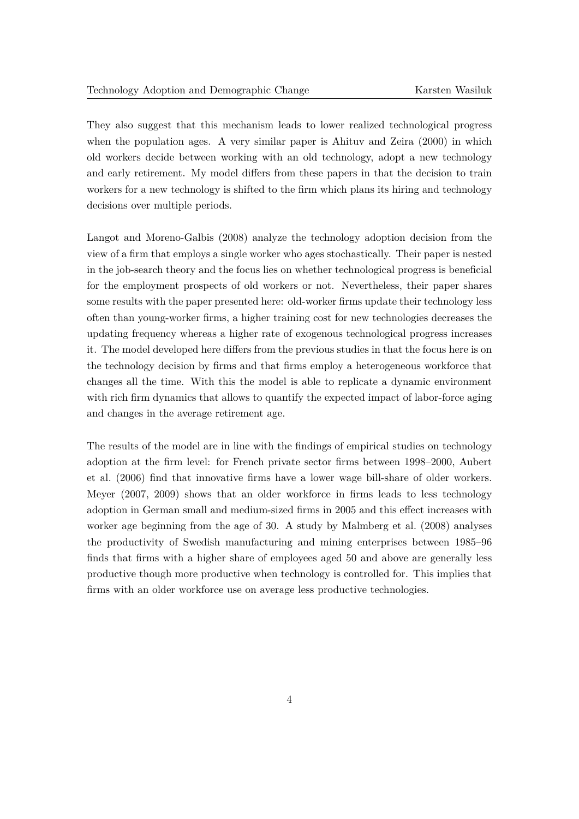They also suggest that this mechanism leads to lower realized technological progress when the population ages. A very similar paper is [Ahituv and Zeira](#page-26-4) [\(2000\)](#page-26-4) in which old workers decide between working with an old technology, adopt a new technology and early retirement. My model differs from these papers in that the decision to train workers for a new technology is shifted to the firm which plans its hiring and technology decisions over multiple periods.

[Langot and Moreno-Galbis](#page-27-5) [\(2008\)](#page-27-5) analyze the technology adoption decision from the view of a firm that employs a single worker who ages stochastically. Their paper is nested in the job-search theory and the focus lies on whether technological progress is beneficial for the employment prospects of old workers or not. Nevertheless, their paper shares some results with the paper presented here: old-worker firms update their technology less often than young-worker firms, a higher training cost for new technologies decreases the updating frequency whereas a higher rate of exogenous technological progress increases it. The model developed here differs from the previous studies in that the focus here is on the technology decision by firms and that firms employ a heterogeneous workforce that changes all the time. With this the model is able to replicate a dynamic environment with rich firm dynamics that allows to quantify the expected impact of labor-force aging and changes in the average retirement age.

The results of the model are in line with the findings of empirical studies on technology adoption at the firm level: for French private sector firms between 1998–2000, [Aubert](#page-26-5) [et al.](#page-26-5) [\(2006\)](#page-26-5) find that innovative firms have a lower wage bill-share of older workers. [Meyer](#page-27-6) [\(2007,](#page-27-6) [2009\)](#page-27-7) shows that an older workforce in firms leads to less technology adoption in German small and medium-sized firms in 2005 and this effect increases with worker age beginning from the age of 30. A study by [Malmberg et al.](#page-27-8) [\(2008\)](#page-27-8) analyses the productivity of Swedish manufacturing and mining enterprises between 1985–96 finds that firms with a higher share of employees aged 50 and above are generally less productive though more productive when technology is controlled for. This implies that firms with an older workforce use on average less productive technologies.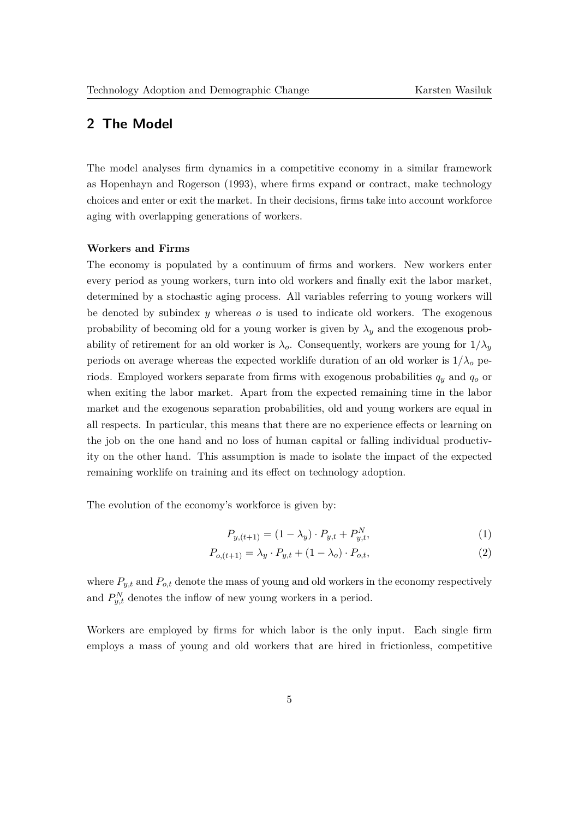# **2 The Model**

The model analyses firm dynamics in a competitive economy in a similar framework as [Hopenhayn and Rogerson](#page-26-6) [\(1993\)](#page-26-6), where firms expand or contract, make technology choices and enter or exit the market. In their decisions, firms take into account workforce aging with overlapping generations of workers.

## **Workers and Firms**

The economy is populated by a continuum of firms and workers. New workers enter every period as young workers, turn into old workers and finally exit the labor market, determined by a stochastic aging process. All variables referring to young workers will be denoted by subindex *y* whereas *o* is used to indicate old workers. The exogenous probability of becoming old for a young worker is given by  $\lambda_y$  and the exogenous probability of retirement for an old worker is  $\lambda_o$ . Consequently, workers are young for  $1/\lambda_y$ periods on average whereas the expected worklife duration of an old worker is  $1/\lambda_o$  periods. Employed workers separate from firms with exogenous probabilities *q<sup>y</sup>* and *q<sup>o</sup>* or when exiting the labor market. Apart from the expected remaining time in the labor market and the exogenous separation probabilities, old and young workers are equal in all respects. In particular, this means that there are no experience effects or learning on the job on the one hand and no loss of human capital or falling individual productivity on the other hand. This assumption is made to isolate the impact of the expected remaining worklife on training and its effect on technology adoption.

The evolution of the economy's workforce is given by:

$$
P_{y,(t+1)} = (1 - \lambda_y) \cdot P_{y,t} + P_{y,t}^N,\tag{1}
$$

$$
P_{o,(t+1)} = \lambda_y \cdot P_{y,t} + (1 - \lambda_o) \cdot P_{o,t},\tag{2}
$$

where  $P_{y,t}$  and  $P_{o,t}$  denote the mass of young and old workers in the economy respectively and  $P_{y,t}^N$  denotes the inflow of new young workers in a period.

Workers are employed by firms for which labor is the only input. Each single firm employs a mass of young and old workers that are hired in frictionless, competitive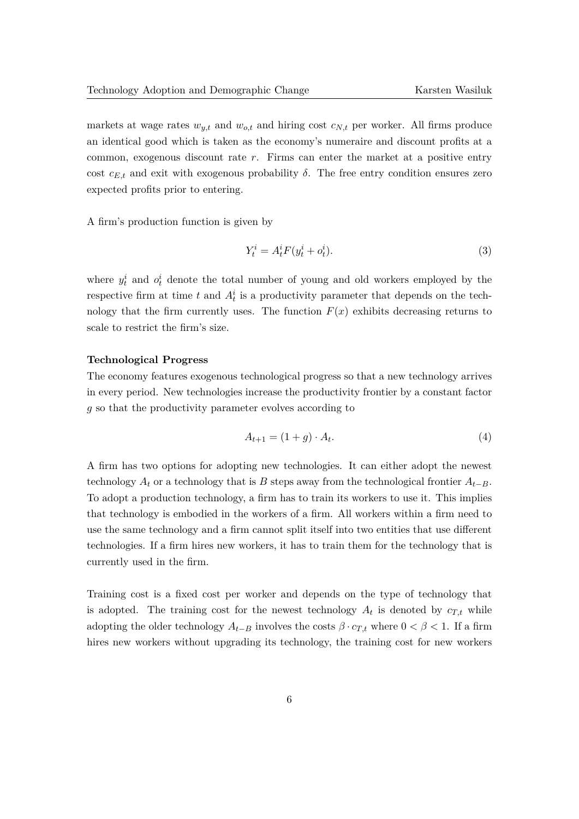markets at wage rates  $w_{y,t}$  and  $w_{o,t}$  and hiring cost  $c_{N,t}$  per worker. All firms produce an identical good which is taken as the economy's numeraire and discount profits at a common, exogenous discount rate *r*. Firms can enter the market at a positive entry cost  $c_{E,t}$  and exit with exogenous probability  $\delta$ . The free entry condition ensures zero expected profits prior to entering.

A firm's production function is given by

$$
Y_t^i = A_t^i F(y_t^i + o_t^i). \tag{3}
$$

where  $y_t^i$  and  $o_t^i$  denote the total number of young and old workers employed by the respective firm at time  $t$  and  $A_t^i$  is a productivity parameter that depends on the technology that the firm currently uses. The function  $F(x)$  exhibits decreasing returns to scale to restrict the firm's size.

#### **Technological Progress**

The economy features exogenous technological progress so that a new technology arrives in every period. New technologies increase the productivity frontier by a constant factor *g* so that the productivity parameter evolves according to

$$
A_{t+1} = (1+g) \cdot A_t.
$$
 (4)

A firm has two options for adopting new technologies. It can either adopt the newest technology  $A_t$  or a technology that is  $B$  steps away from the technological frontier  $A_{t-B}$ . To adopt a production technology, a firm has to train its workers to use it. This implies that technology is embodied in the workers of a firm. All workers within a firm need to use the same technology and a firm cannot split itself into two entities that use different technologies. If a firm hires new workers, it has to train them for the technology that is currently used in the firm.

Training cost is a fixed cost per worker and depends on the type of technology that is adopted. The training cost for the newest technology  $A_t$  is denoted by  $c_{T,t}$  while adopting the older technology  $A_{t-B}$  involves the costs  $\beta \cdot c_{T,t}$  where  $0 < \beta < 1$ . If a firm hires new workers without upgrading its technology, the training cost for new workers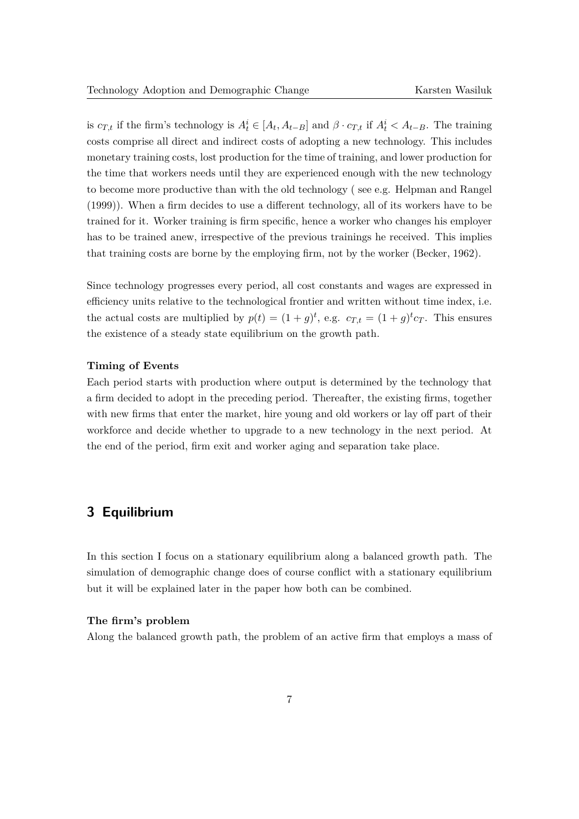is  $c_{T,t}$  if the firm's technology is  $A_t^i \in [A_t, A_{t-B}]$  and  $\beta \cdot c_{T,t}$  if  $A_t^i < A_{t-B}$ . The training costs comprise all direct and indirect costs of adopting a new technology. This includes monetary training costs, lost production for the time of training, and lower production for the time that workers needs until they are experienced enough with the new technology to become more productive than with the old technology ( see e.g. [Helpman and Rangel](#page-26-7) [\(1999\)](#page-26-7)). When a firm decides to use a different technology, all of its workers have to be trained for it. Worker training is firm specific, hence a worker who changes his employer has to be trained anew, irrespective of the previous trainings he received. This implies that training costs are borne by the employing firm, not by the worker [\(Becker,](#page-26-8) [1962\)](#page-26-8).

Since technology progresses every period, all cost constants and wages are expressed in efficiency units relative to the technological frontier and written without time index, i.e. the actual costs are multiplied by  $p(t) = (1+g)^t$ , e.g.  $c_{T,t} = (1+g)^t c_T$ . This ensures the existence of a steady state equilibrium on the growth path.

## **Timing of Events**

Each period starts with production where output is determined by the technology that a firm decided to adopt in the preceding period. Thereafter, the existing firms, together with new firms that enter the market, hire young and old workers or lay off part of their workforce and decide whether to upgrade to a new technology in the next period. At the end of the period, firm exit and worker aging and separation take place.

# <span id="page-6-0"></span>**3 Equilibrium**

In this section I focus on a stationary equilibrium along a balanced growth path. The simulation of demographic change does of course conflict with a stationary equilibrium but it will be explained later in the paper how both can be combined.

## **The firm's problem**

Along the balanced growth path, the problem of an active firm that employs a mass of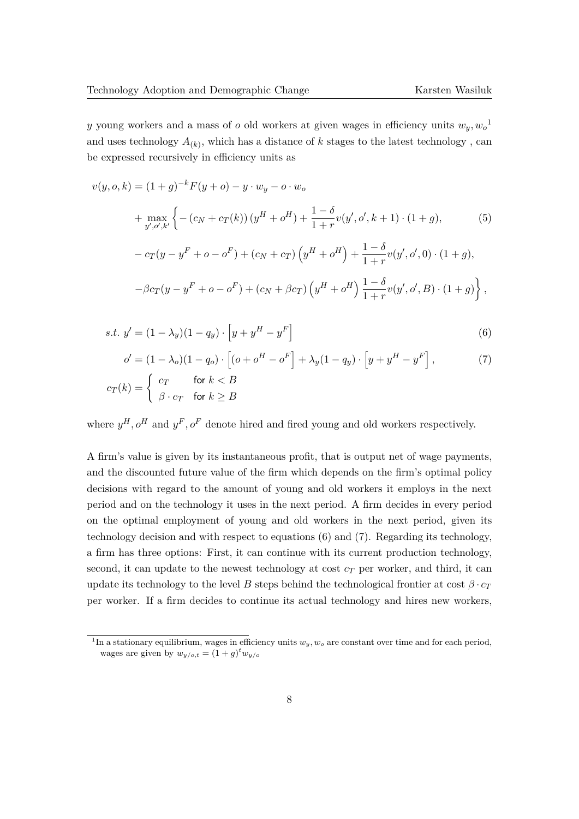*y* young workers and a mass of *o* old workers at given wages in efficiency units *wy, w<sup>o</sup>* [1](#page-0-0) and uses technology  $A_{(k)}$ , which has a distance of  $k$  stages to the latest technology, can be expressed recursively in efficiency units as

$$
v(y, o, k) = (1 + g)^{-k} F(y + o) - y \cdot w_y - o \cdot w_o
$$
  
+ 
$$
\max_{y', o', k'} \left\{ - (c_N + c_T(k)) (y^H + o^H) + \frac{1 - \delta}{1 + r} v(y', o', k + 1) \cdot (1 + g), \right\}
$$
  
- 
$$
c_T(y - y^F + o - o^F) + (c_N + c_T) (y^H + o^H) + \frac{1 - \delta}{1 + r} v(y', o', 0) \cdot (1 + g),
$$
  
- 
$$
\beta c_T(y - y^F + o - o^F) + (c_N + \beta c_T) (y^H + o^H) \frac{1 - \delta}{1 + r} v(y', o', B) \cdot (1 + g) \right\},
$$

s.t. 
$$
y' = (1 - \lambda_y)(1 - q_y) \cdot [y + y^H - y^F]
$$
 (6)

<span id="page-7-1"></span><span id="page-7-0"></span>
$$
o' = (1 - \lambda_o)(1 - q_o) \cdot \left[ (o + o^H - o^F) \right] + \lambda_y (1 - q_y) \cdot \left[ y + y^H - y^F \right],
$$
  
\n
$$
c_T(k) = \begin{cases} c_T & \text{for } k < B \\ \beta \cdot c_T & \text{for } k \ge B \end{cases}
$$
 (7)

where  $y^H$ ,  $o^H$  and  $y^F$ ,  $o^F$  denote hired and fired young and old workers respectively.

A firm's value is given by its instantaneous profit, that is output net of wage payments, and the discounted future value of the firm which depends on the firm's optimal policy decisions with regard to the amount of young and old workers it employs in the next period and on the technology it uses in the next period. A firm decides in every period on the optimal employment of young and old workers in the next period, given its technology decision and with respect to equations [\(6\)](#page-7-0) and [\(7\)](#page-7-1). Regarding its technology, a firm has three options: First, it can continue with its current production technology, second, it can update to the newest technology at cost  $c_T$  per worker, and third, it can update its technology to the level *B* steps behind the technological frontier at cost  $\beta \cdot c_T$ per worker. If a firm decides to continue its actual technology and hires new workers,

<sup>1</sup> In a stationary equilibrium, wages in efficiency units *wy, w<sup>o</sup>* are constant over time and for each period, wages are given by  $w_{y/o,t} = (1+g)^t w_{y/o}$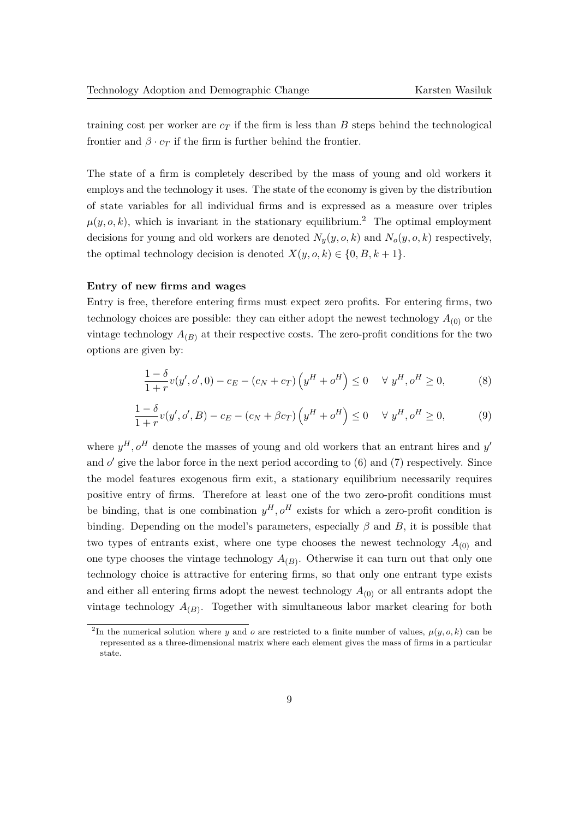training cost per worker are  $c<sub>T</sub>$  if the firm is less than *B* steps behind the technological frontier and  $\beta \cdot c_T$  if the firm is further behind the frontier.

The state of a firm is completely described by the mass of young and old workers it employs and the technology it uses. The state of the economy is given by the distribution of state variables for all individual firms and is expressed as a measure over triples  $\mu(y, o, k)$ , which is invariant in the stationary equilibrium.<sup>[2](#page-0-0)</sup> The optimal employment decisions for young and old workers are denoted  $N_y(y, o, k)$  and  $N_o(y, o, k)$  respectively, the optimal technology decision is denoted  $X(y, o, k) \in \{0, B, k+1\}.$ 

#### **Entry of new firms and wages**

Entry is free, therefore entering firms must expect zero profits. For entering firms, two technology choices are possible: they can either adopt the newest technology  $A_{(0)}$  or the vintage technology  $A_{(B)}$  at their respective costs. The zero-profit conditions for the two options are given by:

<span id="page-8-1"></span><span id="page-8-0"></span>
$$
\frac{1-\delta}{1+r}v(y',o',0) - c_E - (c_N + c_T)\left(y^H + o^H\right) \le 0 \quad \forall \ y^H, o^H \ge 0,
$$
\n(8)

$$
\frac{1-\delta}{1+r}v(y',o',B) - c_E - (c_N + \beta c_T)\left(y^H + o^H\right) \le 0 \quad \forall \ y^H, o^H \ge 0,
$$
\n(9)

where  $y^H$ ,  $o^H$  denote the masses of young and old workers that an entrant hires and  $y'$ and  $o'$  give the labor force in the next period according to  $(6)$  and  $(7)$  respectively. Since the model features exogenous firm exit, a stationary equilibrium necessarily requires positive entry of firms. Therefore at least one of the two zero-profit conditions must be binding, that is one combination  $y^H$ ,  $o^H$  exists for which a zero-profit condition is binding. Depending on the model's parameters, especially  $\beta$  and  $B$ , it is possible that two types of entrants exist, where one type chooses the newest technology  $A_{(0)}$  and one type chooses the vintage technology  $A_{(B)}$ . Otherwise it can turn out that only one technology choice is attractive for entering firms, so that only one entrant type exists and either all entering firms adopt the newest technology  $A_{(0)}$  or all entrants adopt the vintage technology  $A_{(B)}$ . Together with simultaneous labor market clearing for both

<sup>&</sup>lt;sup>2</sup>In the numerical solution where *y* and *o* are restricted to a finite number of values,  $\mu(y, o, k)$  can be represented as a three-dimensional matrix where each element gives the mass of firms in a particular state.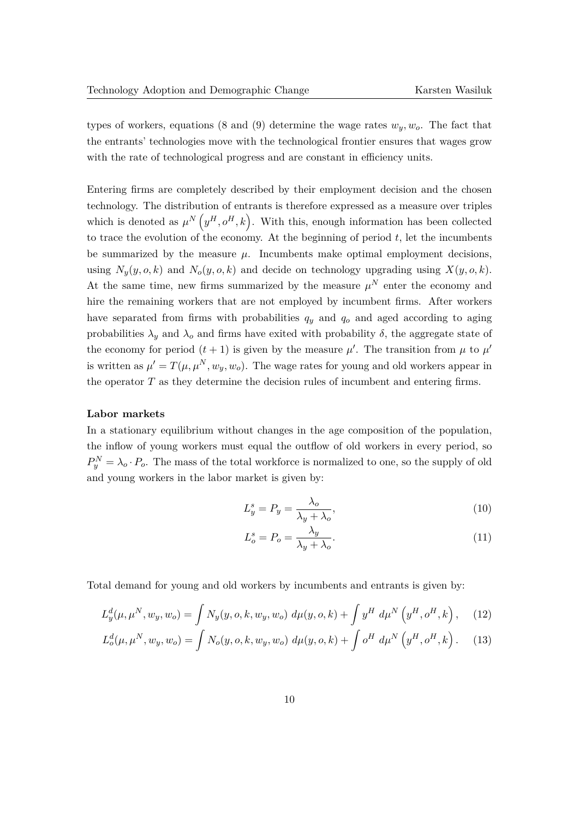types of workers, equations [\(8](#page-8-0) and [\(9\)](#page-8-1) determine the wage rates  $w_y, w_o$ . The fact that the entrants' technologies move with the technological frontier ensures that wages grow with the rate of technological progress and are constant in efficiency units.

Entering firms are completely described by their employment decision and the chosen technology. The distribution of entrants is therefore expressed as a measure over triples which is denoted as  $\mu^{N}\left(y^{H}, o^{H}, k\right)$ . With this, enough information has been collected to trace the evolution of the economy. At the beginning of period  $t$ , let the incumbents be summarized by the measure  $\mu$ . Incumbents make optimal employment decisions, using  $N_y(y, o, k)$  and  $N_o(y, o, k)$  and decide on technology upgrading using  $X(y, o, k)$ . At the same time, new firms summarized by the measure  $\mu^N$  enter the economy and hire the remaining workers that are not employed by incumbent firms. After workers have separated from firms with probabilities  $q_y$  and  $q_o$  and aged according to aging probabilities  $\lambda_y$  and  $\lambda_o$  and firms have exited with probability  $\delta$ , the aggregate state of the economy for period  $(t + 1)$  is given by the measure  $\mu'$ . The transition from  $\mu$  to  $\mu'$ is written as  $\mu' = T(\mu, \mu^N, w_y, w_o)$ . The wage rates for young and old workers appear in the operator *T* as they determine the decision rules of incumbent and entering firms.

#### **Labor markets**

In a stationary equilibrium without changes in the age composition of the population, the inflow of young workers must equal the outflow of old workers in every period, so  $P_y^N = \lambda_o \cdot P_o$ . The mass of the total workforce is normalized to one, so the supply of old and young workers in the labor market is given by:

$$
L_y^s = P_y = \frac{\lambda_o}{\lambda_y + \lambda_o},\tag{10}
$$

$$
L_o^s = P_o = \frac{\lambda_y}{\lambda_y + \lambda_o}.\tag{11}
$$

Total demand for young and old workers by incumbents and entrants is given by:

$$
L_y^d(\mu, \mu^N, w_y, w_o) = \int N_y(y, o, k, w_y, w_o) d\mu(y, o, k) + \int y^H d\mu^N \left( y^H, o^H, k \right), \quad (12)
$$

$$
L_o^d(\mu, \mu^N, w_y, w_o) = \int N_o(y, o, k, w_y, w_o) d\mu(y, o, k) + \int o^H d\mu^N \left( y^H, o^H, k \right).
$$
 (13)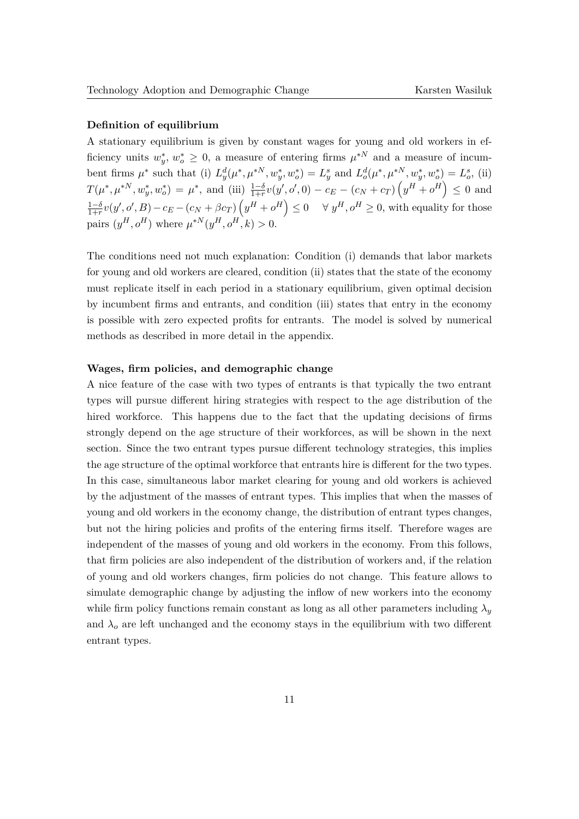## **Definition of equilibrium**

A stationary equilibrium is given by constant wages for young and old workers in efficiency units  $w_y^*, w_o^* \geq 0$ , a measure of entering firms  $\mu^{*N}$  and a measure of incumbent firms  $\mu^*$  such that (i)  $L_y^d(\mu^*, \mu^{*N}, w_y^*, w_o^*) = L_y^s$  and  $L_o^d(\mu^*, \mu^{*N}, w_y^*, w_o^*) = L_o^s$ , (ii)  $T(\mu^*, \mu^{*N}, w_y^*, w_o^*) = \mu^*,$  and (iii)  $\frac{1-\delta}{1+r}v(y', o', 0) - c_E - (c_N + c_T)\left(y^H + o^H\right) \leq 0$  and 1−*δ*  $\frac{1-\delta}{1+r}v(y',o',B) - c_E - (c_N + \beta c_T)\left(y^H + o^H\right) \leq 0 \quad \forall \ y^H, o^H \geq 0$ , with equality for those  $\text{pairs } (y^H, o^H) \text{ where } \mu^{*N}(y^H, o^H, k) > 0.$ 

The conditions need not much explanation: Condition (i) demands that labor markets for young and old workers are cleared, condition (ii) states that the state of the economy must replicate itself in each period in a stationary equilibrium, given optimal decision by incumbent firms and entrants, and condition (iii) states that entry in the economy is possible with zero expected profits for entrants. The model is solved by numerical methods as described in more detail in the appendix.

## **Wages, firm policies, and demographic change**

A nice feature of the case with two types of entrants is that typically the two entrant types will pursue different hiring strategies with respect to the age distribution of the hired workforce. This happens due to the fact that the updating decisions of firms strongly depend on the age structure of their workforces, as will be shown in the next section. Since the two entrant types pursue different technology strategies, this implies the age structure of the optimal workforce that entrants hire is different for the two types. In this case, simultaneous labor market clearing for young and old workers is achieved by the adjustment of the masses of entrant types. This implies that when the masses of young and old workers in the economy change, the distribution of entrant types changes, but not the hiring policies and profits of the entering firms itself. Therefore wages are independent of the masses of young and old workers in the economy. From this follows, that firm policies are also independent of the distribution of workers and, if the relation of young and old workers changes, firm policies do not change. This feature allows to simulate demographic change by adjusting the inflow of new workers into the economy while firm policy functions remain constant as long as all other parameters including  $\lambda_y$ and  $\lambda_0$  are left unchanged and the economy stays in the equilibrium with two different entrant types.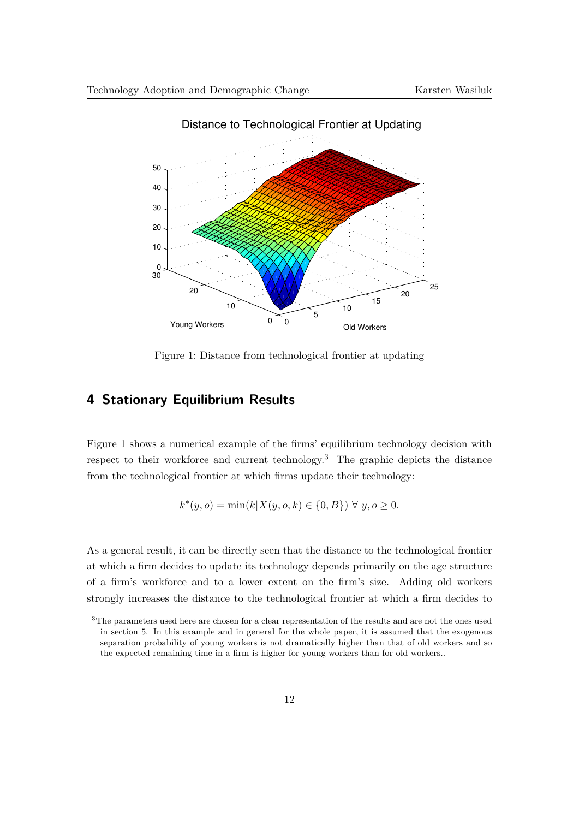<span id="page-11-0"></span>

Distance to Technological Frontier at Updating

Figure 1: Distance from technological frontier at updating

# <span id="page-11-1"></span>**4 Stationary Equilibrium Results**

Figure [1](#page-11-0) shows a numerical example of the firms' equilibrium technology decision with respect to their workforce and current technology.<sup>[3](#page-0-0)</sup> The graphic depicts the distance from the technological frontier at which firms update their technology:

$$
k^*(y, o) = \min(k|X(y, o, k) \in \{0, B\}) \ \forall \ y, o \ge 0.
$$

As a general result, it can be directly seen that the distance to the technological frontier at which a firm decides to update its technology depends primarily on the age structure of a firm's workforce and to a lower extent on the firm's size. Adding old workers strongly increases the distance to the technological frontier at which a firm decides to

<sup>&</sup>lt;sup>3</sup>The parameters used here are chosen for a clear representation of the results and are not the ones used in section 5. In this example and in general for the whole paper, it is assumed that the exogenous separation probability of young workers is not dramatically higher than that of old workers and so the expected remaining time in a firm is higher for young workers than for old workers..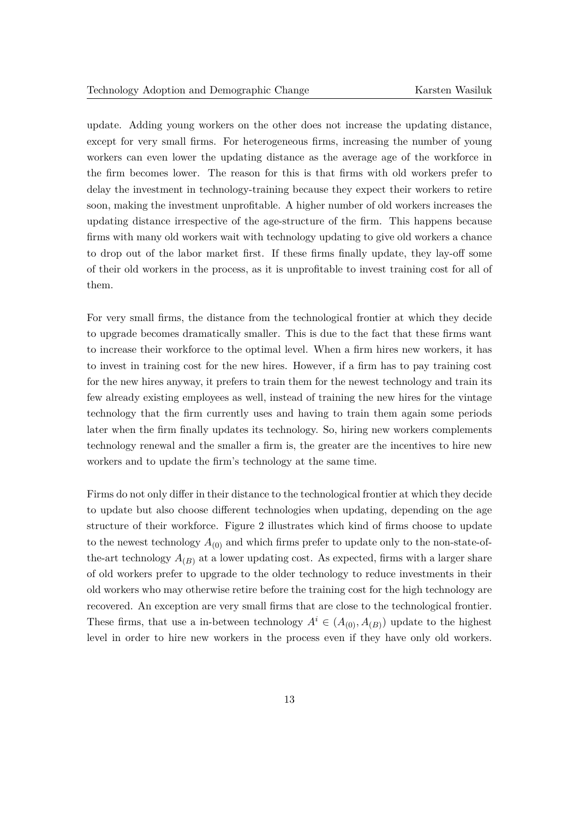update. Adding young workers on the other does not increase the updating distance, except for very small firms. For heterogeneous firms, increasing the number of young workers can even lower the updating distance as the average age of the workforce in the firm becomes lower. The reason for this is that firms with old workers prefer to delay the investment in technology-training because they expect their workers to retire soon, making the investment unprofitable. A higher number of old workers increases the updating distance irrespective of the age-structure of the firm. This happens because firms with many old workers wait with technology updating to give old workers a chance to drop out of the labor market first. If these firms finally update, they lay-off some of their old workers in the process, as it is unprofitable to invest training cost for all of them.

For very small firms, the distance from the technological frontier at which they decide to upgrade becomes dramatically smaller. This is due to the fact that these firms want to increase their workforce to the optimal level. When a firm hires new workers, it has to invest in training cost for the new hires. However, if a firm has to pay training cost for the new hires anyway, it prefers to train them for the newest technology and train its few already existing employees as well, instead of training the new hires for the vintage technology that the firm currently uses and having to train them again some periods later when the firm finally updates its technology. So, hiring new workers complements technology renewal and the smaller a firm is, the greater are the incentives to hire new workers and to update the firm's technology at the same time.

Firms do not only differ in their distance to the technological frontier at which they decide to update but also choose different technologies when updating, depending on the age structure of their workforce. Figure [2](#page-13-0) illustrates which kind of firms choose to update to the newest technology  $A_{(0)}$  and which firms prefer to update only to the non-state-ofthe-art technology  $A_{(B)}$  at a lower updating cost. As expected, firms with a larger share of old workers prefer to upgrade to the older technology to reduce investments in their old workers who may otherwise retire before the training cost for the high technology are recovered. An exception are very small firms that are close to the technological frontier. These firms, that use a in-between technology  $A^i \in (A_{(0)}, A_{(B)})$  update to the highest level in order to hire new workers in the process even if they have only old workers.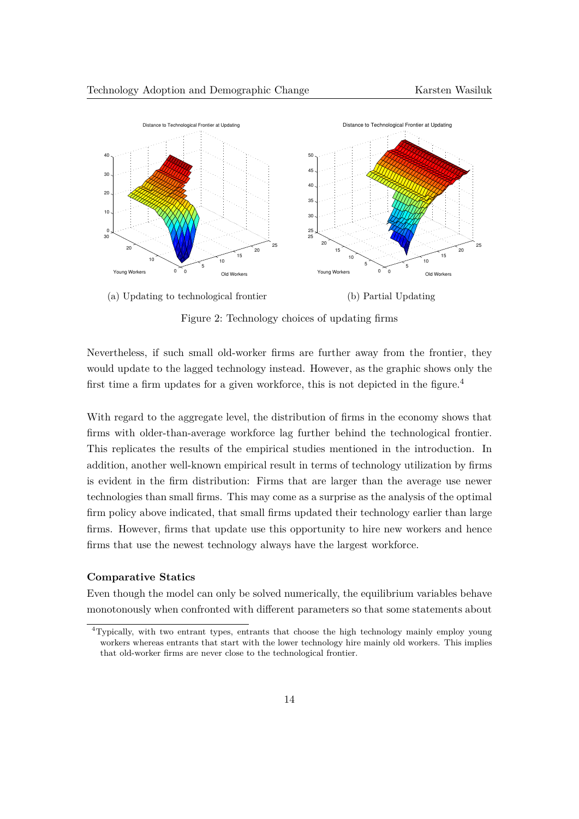<span id="page-13-0"></span>



Figure 2: Technology choices of updating firms

Nevertheless, if such small old-worker firms are further away from the frontier, they would update to the lagged technology instead. However, as the graphic shows only the first time a firm updates for a given workforce, this is not depicted in the figure.<sup>[4](#page-0-0)</sup>

With regard to the aggregate level, the distribution of firms in the economy shows that firms with older-than-average workforce lag further behind the technological frontier. This replicates the results of the empirical studies mentioned in the introduction. In addition, another well-known empirical result in terms of technology utilization by firms is evident in the firm distribution: Firms that are larger than the average use newer technologies than small firms. This may come as a surprise as the analysis of the optimal firm policy above indicated, that small firms updated their technology earlier than large firms. However, firms that update use this opportunity to hire new workers and hence firms that use the newest technology always have the largest workforce.

#### **Comparative Statics**

Even though the model can only be solved numerically, the equilibrium variables behave monotonously when confronted with different parameters so that some statements about

<sup>4</sup>Typically, with two entrant types, entrants that choose the high technology mainly employ young workers whereas entrants that start with the lower technology hire mainly old workers. This implies that old-worker firms are never close to the technological frontier.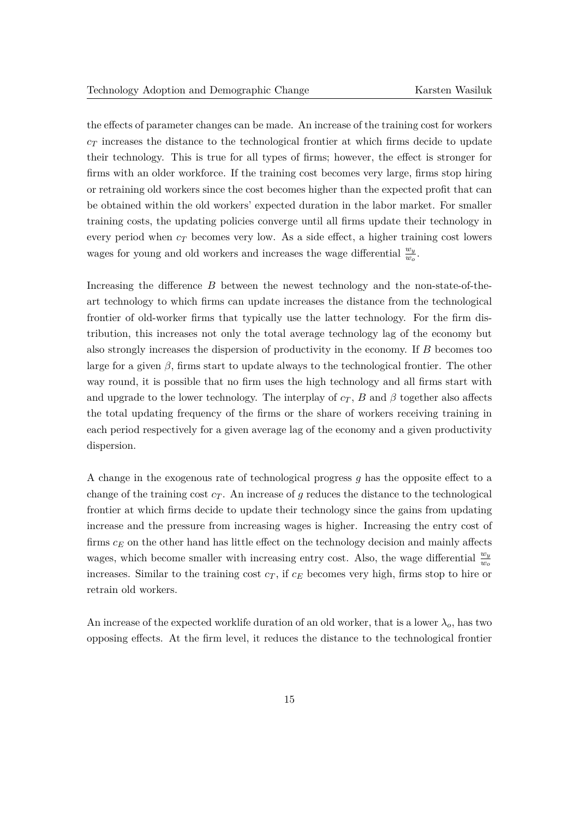the effects of parameter changes can be made. An increase of the training cost for workers *c<sup>T</sup>* increases the distance to the technological frontier at which firms decide to update their technology. This is true for all types of firms; however, the effect is stronger for firms with an older workforce. If the training cost becomes very large, firms stop hiring or retraining old workers since the cost becomes higher than the expected profit that can be obtained within the old workers' expected duration in the labor market. For smaller training costs, the updating policies converge until all firms update their technology in every period when  $c_T$  becomes very low. As a side effect, a higher training cost lowers wages for young and old workers and increases the wage differential  $\frac{w_y}{w_o}$ .

Increasing the difference *B* between the newest technology and the non-state-of-theart technology to which firms can update increases the distance from the technological frontier of old-worker firms that typically use the latter technology. For the firm distribution, this increases not only the total average technology lag of the economy but also strongly increases the dispersion of productivity in the economy. If *B* becomes too large for a given  $\beta$ , firms start to update always to the technological frontier. The other way round, it is possible that no firm uses the high technology and all firms start with and upgrade to the lower technology. The interplay of  $c_T$ ,  $B$  and  $\beta$  together also affects the total updating frequency of the firms or the share of workers receiving training in each period respectively for a given average lag of the economy and a given productivity dispersion.

A change in the exogenous rate of technological progress *g* has the opposite effect to a change of the training cost  $c_T$ . An increase of  $g$  reduces the distance to the technological frontier at which firms decide to update their technology since the gains from updating increase and the pressure from increasing wages is higher. Increasing the entry cost of firms *c<sup>E</sup>* on the other hand has little effect on the technology decision and mainly affects wages, which become smaller with increasing entry cost. Also, the wage differential  $\frac{w_y}{w_o}$ increases. Similar to the training cost  $c_T$ , if  $c_E$  becomes very high, firms stop to hire or retrain old workers.

An increase of the expected worklife duration of an old worker, that is a lower  $\lambda_o$ , has two opposing effects. At the firm level, it reduces the distance to the technological frontier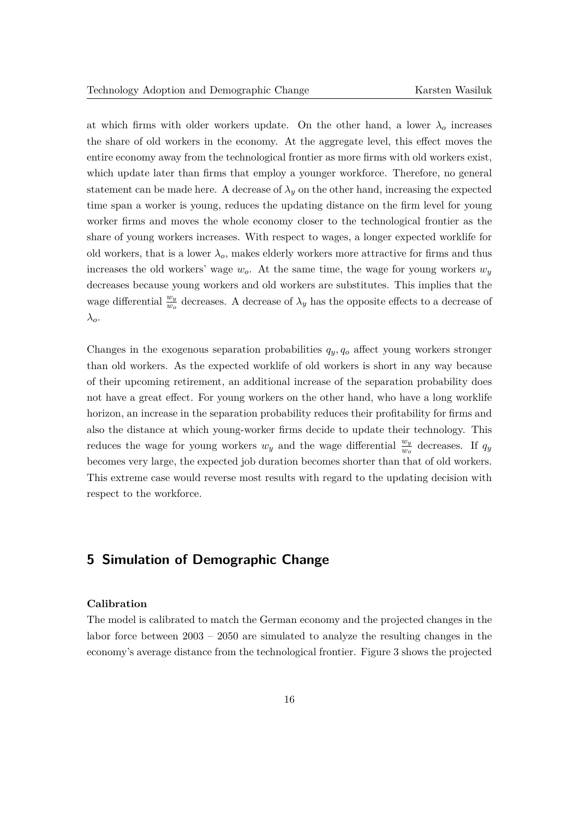at which firms with older workers update. On the other hand, a lower  $\lambda_o$  increases the share of old workers in the economy. At the aggregate level, this effect moves the entire economy away from the technological frontier as more firms with old workers exist, which update later than firms that employ a younger workforce. Therefore, no general statement can be made here. A decrease of  $\lambda_y$  on the other hand, increasing the expected time span a worker is young, reduces the updating distance on the firm level for young worker firms and moves the whole economy closer to the technological frontier as the share of young workers increases. With respect to wages, a longer expected worklife for old workers, that is a lower  $\lambda_o$ , makes elderly workers more attractive for firms and thus increases the old workers' wage  $w_o$ . At the same time, the wage for young workers  $w_y$ decreases because young workers and old workers are substitutes. This implies that the wage differential  $\frac{w_y}{w_o}$  decreases. A decrease of  $\lambda_y$  has the opposite effects to a decrease of *λo*.

Changes in the exogenous separation probabilities  $q_y, q_o$  affect young workers stronger than old workers. As the expected worklife of old workers is short in any way because of their upcoming retirement, an additional increase of the separation probability does not have a great effect. For young workers on the other hand, who have a long worklife horizon, an increase in the separation probability reduces their profitability for firms and also the distance at which young-worker firms decide to update their technology. This reduces the wage for young workers  $w_y$  and the wage differential  $\frac{w_y}{w_o}$  decreases. If  $q_y$ becomes very large, the expected job duration becomes shorter than that of old workers. This extreme case would reverse most results with regard to the updating decision with respect to the workforce.

# **5 Simulation of Demographic Change**

## **Calibration**

The model is calibrated to match the German economy and the projected changes in the labor force between 2003 – 2050 are simulated to analyze the resulting changes in the economy's average distance from the technological frontier. Figure [3](#page-16-0) shows the projected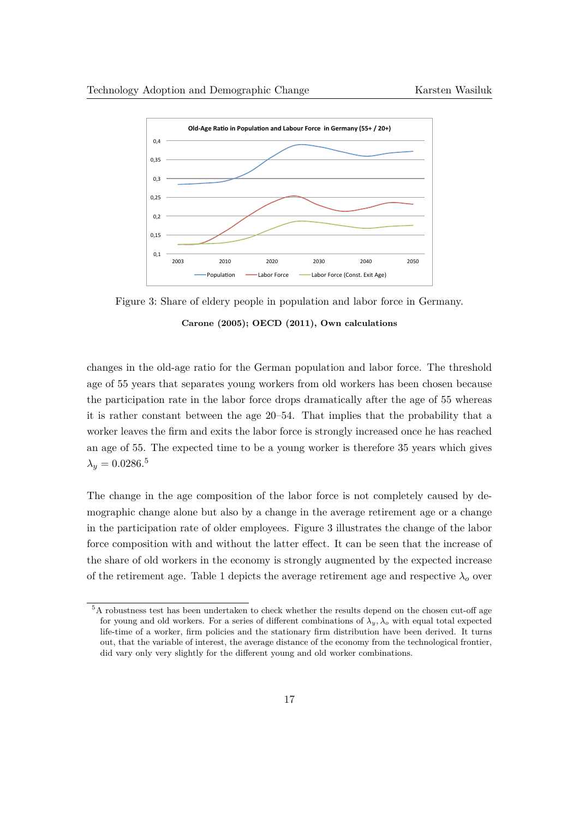<span id="page-16-0"></span>

Figure 3: Share of eldery people in population and labor force in Germany. **[Carone](#page-26-9) [\(2005\)](#page-26-9); [OECD](#page-27-9) [\(2011\)](#page-27-9), Own calculations**

changes in the old-age ratio for the German population and labor force. The threshold age of 55 years that separates young workers from old workers has been chosen because the participation rate in the labor force drops dramatically after the age of 55 whereas it is rather constant between the age 20–54. That implies that the probability that a worker leaves the firm and exits the labor force is strongly increased once he has reached an age of 55. The expected time to be a young worker is therefore 35 years which gives  $\lambda_y = 0.0286$ <sup>[5](#page-0-0)</sup>

The change in the age composition of the labor force is not completely caused by demographic change alone but also by a change in the average retirement age or a change in the participation rate of older employees. Figure [3](#page-16-0) illustrates the change of the labor force composition with and without the latter effect. It can be seen that the increase of the share of old workers in the economy is strongly augmented by the expected increase of the retirement age. Table [1](#page-17-0) depicts the average retirement age and respective  $\lambda_o$  over

<sup>5</sup>A robustness test has been undertaken to check whether the results depend on the chosen cut-off age for young and old workers. For a series of different combinations of  $\lambda_y$ ,  $\lambda_o$  with equal total expected life-time of a worker, firm policies and the stationary firm distribution have been derived. It turns out, that the variable of interest, the average distance of the economy from the technological frontier, did vary only very slightly for the different young and old worker combinations.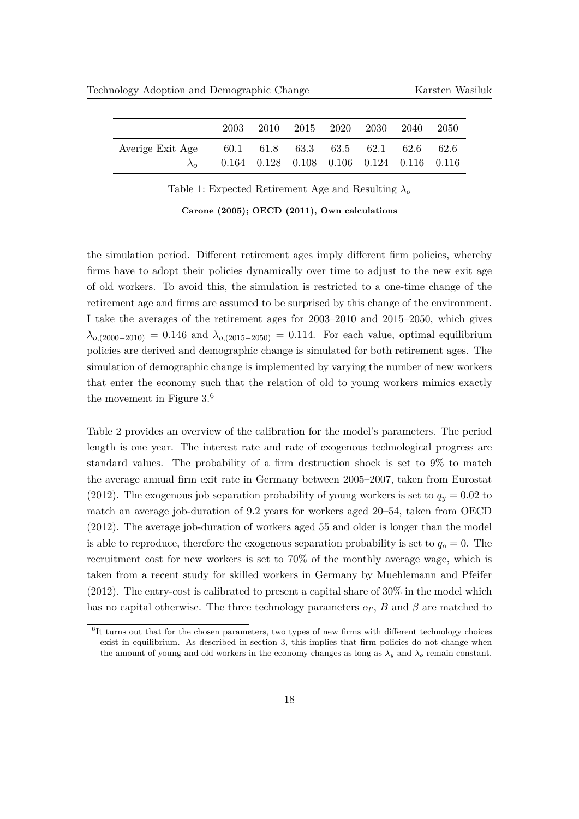<span id="page-17-0"></span>

|                  | 2003                                             | 2010 2015 2020 2030 2040                                |  | - 2050 |
|------------------|--------------------------------------------------|---------------------------------------------------------|--|--------|
| Averige Exit Age | $60.1$ $61.8$ $63.3$ $63.5$ $62.1$ $62.6$ $62.6$ |                                                         |  |        |
|                  |                                                  | $0.164$ $0.128$ $0.108$ $0.106$ $0.124$ $0.116$ $0.116$ |  |        |

Table 1: Expected Retirement Age and Resulting *λ<sup>o</sup>*

**[Carone](#page-26-9) [\(2005\)](#page-26-9); [OECD](#page-27-9) [\(2011\)](#page-27-9), Own calculations**

the simulation period. Different retirement ages imply different firm policies, whereby firms have to adopt their policies dynamically over time to adjust to the new exit age of old workers. To avoid this, the simulation is restricted to a one-time change of the retirement age and firms are assumed to be surprised by this change of the environment. I take the averages of the retirement ages for 2003–2010 and 2015–2050, which gives  $\lambda_{o,(2000-2010)} = 0.146$  and  $\lambda_{o,(2015-2050)} = 0.114$ . For each value, optimal equilibrium policies are derived and demographic change is simulated for both retirement ages. The simulation of demographic change is implemented by varying the number of new workers that enter the economy such that the relation of old to young workers mimics exactly the movement in Figure [3.](#page-16-0) [6](#page-0-0)

Table [2](#page-18-0) provides an overview of the calibration for the model's parameters. The period length is one year. The interest rate and rate of exogenous technological progress are standard values. The probability of a firm destruction shock is set to 9% to match the average annual firm exit rate in Germany between 2005–2007, taken from [Eurostat](#page-26-10) [\(2012\)](#page-26-10). The exogenous job separation probability of young workers is set to  $q_y = 0.02$  to match an average job-duration of 9.2 years for workers aged 20–54, taken from [OECD](#page-27-10) [\(2012\)](#page-27-10). The average job-duration of workers aged 55 and older is longer than the model is able to reproduce, therefore the exogenous separation probability is set to  $q<sub>o</sub> = 0$ . The recruitment cost for new workers is set to 70% of the monthly average wage, which is taken from a recent study for skilled workers in Germany by [Muehlemann and Pfeifer](#page-27-11) [\(2012\)](#page-27-11). The entry-cost is calibrated to present a capital share of 30% in the model which has no capital otherwise. The three technology parameters  $c_T$ , *B* and  $\beta$  are matched to

<sup>&</sup>lt;sup>6</sup>It turns out that for the chosen parameters, two types of new firms with different technology choices exist in equilibrium. As described in section 3, this implies that firm policies do not change when the amount of young and old workers in the economy changes as long as  $\lambda_y$  and  $\lambda_o$  remain constant.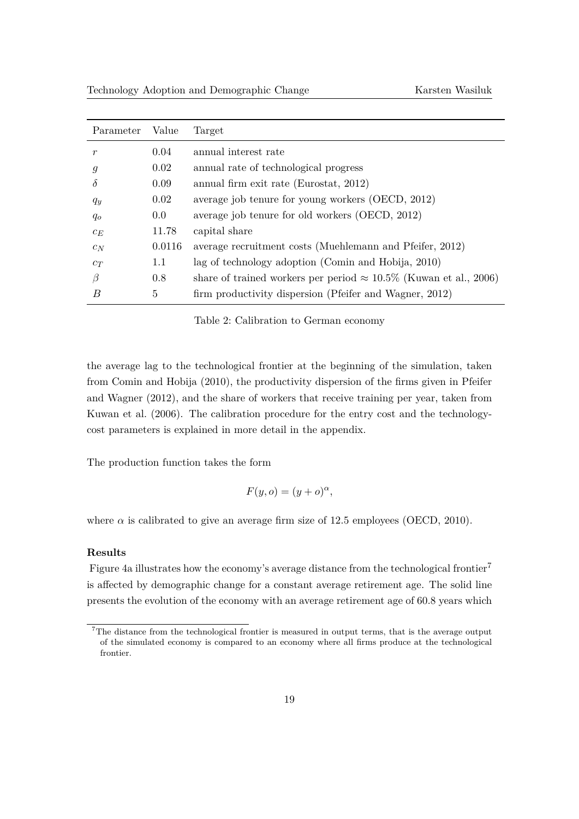<span id="page-18-0"></span>

| Parameter        | Value   | Target                                                                    |
|------------------|---------|---------------------------------------------------------------------------|
| $\boldsymbol{r}$ | 0.04    | annual interest rate                                                      |
| g                | 0.02    | annual rate of technological progress                                     |
| $\delta$         | 0.09    | annual firm exit rate (Eurostat, 2012)                                    |
| $q_y$            | 0.02    | average job tenure for young workers (OECD, 2012)                         |
| $q_o$            | $0.0\,$ | average job tenure for old workers (OECD, 2012)                           |
| $c_E$            | 11.78   | capital share                                                             |
| $c_N$            | 0.0116  | average recruitment costs (Muehlemann and Pfeifer, 2012)                  |
| $c_T$            | 1.1     | lag of technology adoption (Comin and Hobija, 2010)                       |
| $\beta$          | 0.8     | share of trained workers per period $\approx 10.5\%$ (Kuwan et al., 2006) |
| B                | 5       | firm productivity dispersion (Pfeifer and Wagner, 2012)                   |

Table 2: Calibration to German economy

the average lag to the technological frontier at the beginning of the simulation, taken from [Comin and Hobija](#page-26-11) [\(2010\)](#page-26-11), the productivity dispersion of the firms given in [Pfeifer](#page-27-12) [and Wagner](#page-27-12) [\(2012\)](#page-27-12), and the share of workers that receive training per year, taken from [Kuwan et al.](#page-26-12) [\(2006\)](#page-26-12). The calibration procedure for the entry cost and the technologycost parameters is explained in more detail in the appendix.

The production function takes the form

$$
F(y, o) = (y + o)^{\alpha},
$$

where  $\alpha$  is calibrated to give an average firm size of 12.5 employees [\(OECD,](#page-27-13) [2010\)](#page-27-13).

## **Results**

Figure [4a](#page-19-0) illustrates how the economy's average distance from the technological frontier<sup>[7](#page-0-0)</sup> is affected by demographic change for a constant average retirement age. The solid line presents the evolution of the economy with an average retirement age of 60.8 years which

<sup>&</sup>lt;sup>7</sup>The distance from the technological frontier is measured in output terms, that is the average output of the simulated economy is compared to an economy where all firms produce at the technological frontier.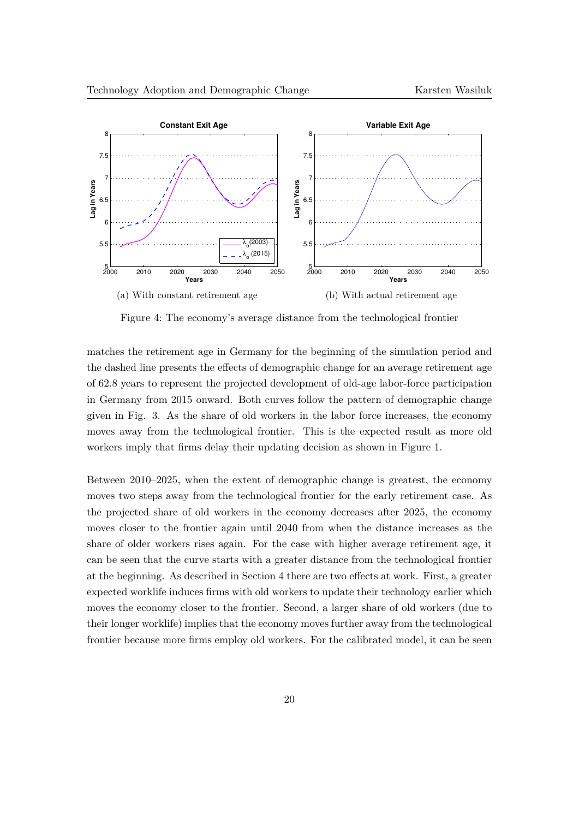<span id="page-19-0"></span>

Figure 4: The economy's average distance from the technological frontier

matches the retirement age in Germany for the beginning of the simulation period and the dashed line presents the effects of demographic change for an average retirement age of 62.8 years to represent the projected development of old-age labor-force participation in Germany from 2015 onward. Both curves follow the pattern of demographic change given in Fig. [3.](#page-16-0) As the share of old workers in the labor force increases, the economy moves away from the technological frontier. This is the expected result as more old workers imply that firms delay their updating decision as shown in Figure [1.](#page-11-0)

Between 2010–2025, when the extent of demographic change is greatest, the economy moves two steps away from the technological frontier for the early retirement case. As the projected share of old workers in the economy decreases after 2025, the economy moves closer to the frontier again until 2040 from when the distance increases as the share of older workers rises again. For the case with higher average retirement age, it can be seen that the curve starts with a greater distance from the technological frontier at the beginning. As described in Section [4](#page-11-1) there are two effects at work. First, a greater expected worklife induces firms with old workers to update their technology earlier which moves the economy closer to the frontier. Second, a larger share of old workers (due to their longer worklife) implies that the economy moves further away from the technological frontier because more firms employ old workers. For the calibrated model, it can be seen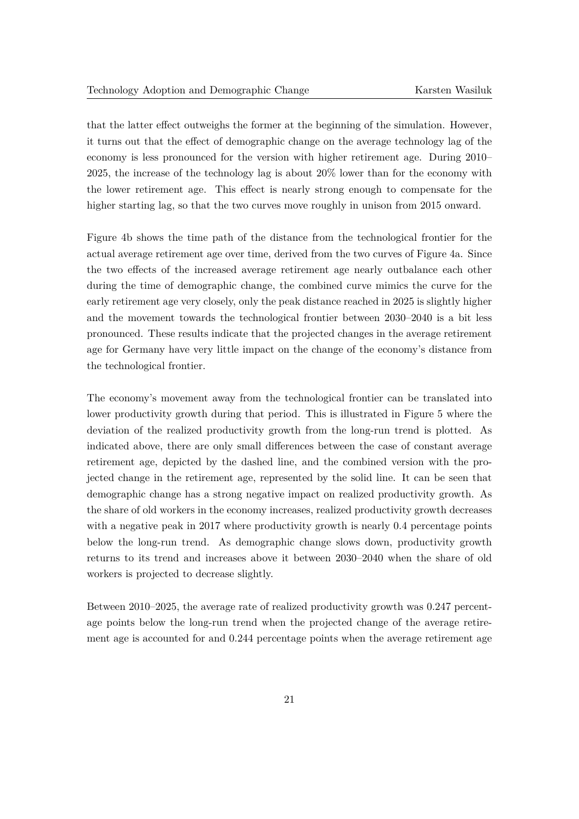that the latter effect outweighs the former at the beginning of the simulation. However, it turns out that the effect of demographic change on the average technology lag of the economy is less pronounced for the version with higher retirement age. During 2010– 2025, the increase of the technology lag is about 20% lower than for the economy with the lower retirement age. This effect is nearly strong enough to compensate for the higher starting lag, so that the two curves move roughly in unison from 2015 onward.

Figure [4b](#page-19-0) shows the time path of the distance from the technological frontier for the actual average retirement age over time, derived from the two curves of Figure [4a.](#page-19-0) Since the two effects of the increased average retirement age nearly outbalance each other during the time of demographic change, the combined curve mimics the curve for the early retirement age very closely, only the peak distance reached in 2025 is slightly higher and the movement towards the technological frontier between 2030–2040 is a bit less pronounced. These results indicate that the projected changes in the average retirement age for Germany have very little impact on the change of the economy's distance from the technological frontier.

The economy's movement away from the technological frontier can be translated into lower productivity growth during that period. This is illustrated in Figure [5](#page-21-0) where the deviation of the realized productivity growth from the long-run trend is plotted. As indicated above, there are only small differences between the case of constant average retirement age, depicted by the dashed line, and the combined version with the projected change in the retirement age, represented by the solid line. It can be seen that demographic change has a strong negative impact on realized productivity growth. As the share of old workers in the economy increases, realized productivity growth decreases with a negative peak in 2017 where productivity growth is nearly 0.4 percentage points below the long-run trend. As demographic change slows down, productivity growth returns to its trend and increases above it between 2030–2040 when the share of old workers is projected to decrease slightly.

Between 2010–2025, the average rate of realized productivity growth was 0.247 percentage points below the long-run trend when the projected change of the average retirement age is accounted for and 0.244 percentage points when the average retirement age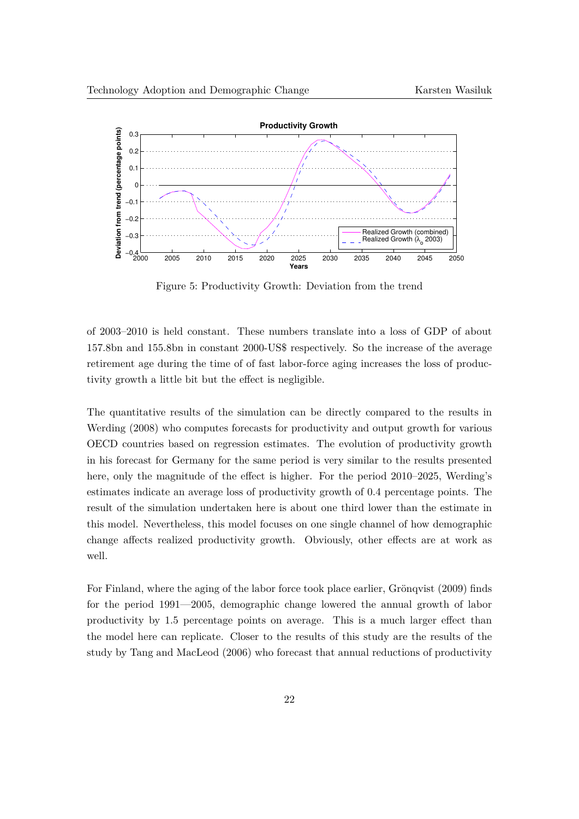<span id="page-21-0"></span>

Figure 5: Productivity Growth: Deviation from the trend

of 2003–2010 is held constant. These numbers translate into a loss of GDP of about 157.8bn and 155.8bn in constant 2000-US\$ respectively. So the increase of the average retirement age during the time of of fast labor-force aging increases the loss of productivity growth a little bit but the effect is negligible.

The quantitative results of the simulation can be directly compared to the results in [Werding](#page-28-0) [\(2008\)](#page-28-0) who computes forecasts for productivity and output growth for various OECD countries based on regression estimates. The evolution of productivity growth in his forecast for Germany for the same period is very similar to the results presented here, only the magnitude of the effect is higher. For the period 2010–2025, Werding's estimates indicate an average loss of productivity growth of 0.4 percentage points. The result of the simulation undertaken here is about one third lower than the estimate in this model. Nevertheless, this model focuses on one single channel of how demographic change affects realized productivity growth. Obviously, other effects are at work as well.

For Finland, where the aging of the labor force took place earlier, Grönqvist [\(2009\)](#page-26-1) finds for the period 1991—2005, demographic change lowered the annual growth of labor productivity by 1.5 percentage points on average. This is a much larger effect than the model here can replicate. Closer to the results of this study are the results of the study by [Tang and MacLeod](#page-27-0) [\(2006\)](#page-27-0) who forecast that annual reductions of productivity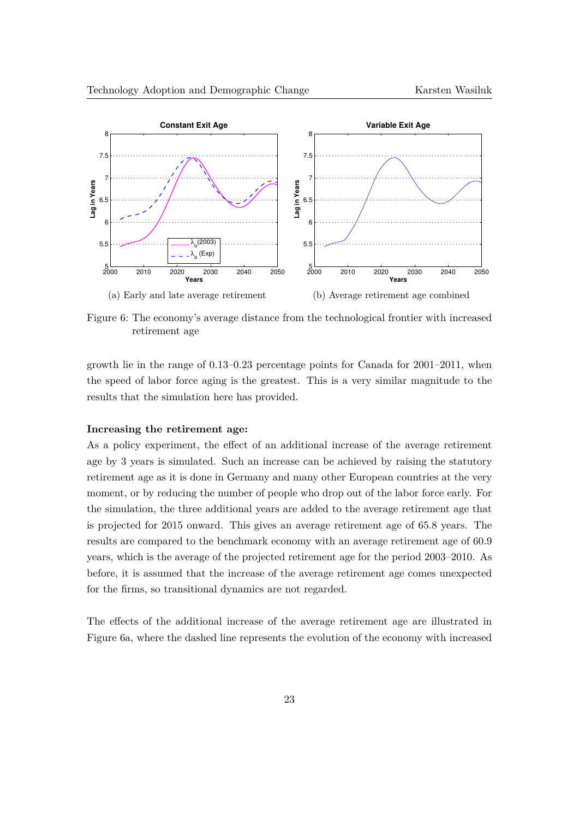<span id="page-22-0"></span>

Figure 6: The economy's average distance from the technological frontier with increased retirement age

growth lie in the range of 0.13–0.23 percentage points for Canada for 2001–2011, when the speed of labor force aging is the greatest. This is a very similar magnitude to the results that the simulation here has provided.

#### **Increasing the retirement age:**

As a policy experiment, the effect of an additional increase of the average retirement age by 3 years is simulated. Such an increase can be achieved by raising the statutory retirement age as it is done in Germany and many other European countries at the very moment, or by reducing the number of people who drop out of the labor force early. For the simulation, the three additional years are added to the average retirement age that is projected for 2015 onward. This gives an average retirement age of 65.8 years. The results are compared to the benchmark economy with an average retirement age of 60.9 years, which is the average of the projected retirement age for the period 2003–2010. As before, it is assumed that the increase of the average retirement age comes unexpected for the firms, so transitional dynamics are not regarded.

The effects of the additional increase of the average retirement age are illustrated in Figure [6a,](#page-22-0) where the dashed line represents the evolution of the economy with increased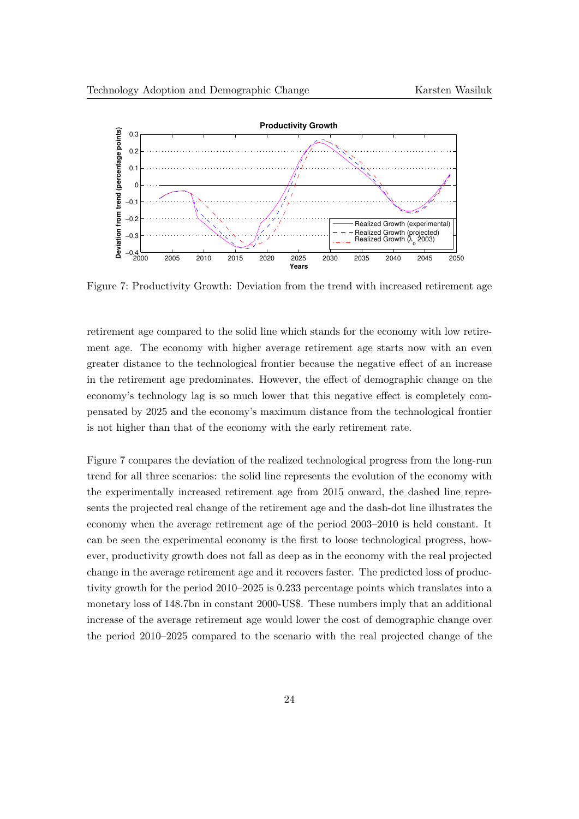<span id="page-23-0"></span>

Figure 7: Productivity Growth: Deviation from the trend with increased retirement age

retirement age compared to the solid line which stands for the economy with low retirement age. The economy with higher average retirement age starts now with an even greater distance to the technological frontier because the negative effect of an increase in the retirement age predominates. However, the effect of demographic change on the economy's technology lag is so much lower that this negative effect is completely compensated by 2025 and the economy's maximum distance from the technological frontier is not higher than that of the economy with the early retirement rate.

Figure [7](#page-23-0) compares the deviation of the realized technological progress from the long-run trend for all three scenarios: the solid line represents the evolution of the economy with the experimentally increased retirement age from 2015 onward, the dashed line represents the projected real change of the retirement age and the dash-dot line illustrates the economy when the average retirement age of the period 2003–2010 is held constant. It can be seen the experimental economy is the first to loose technological progress, however, productivity growth does not fall as deep as in the economy with the real projected change in the average retirement age and it recovers faster. The predicted loss of productivity growth for the period 2010–2025 is 0.233 percentage points which translates into a monetary loss of 148.7bn in constant 2000-US\$. These numbers imply that an additional increase of the average retirement age would lower the cost of demographic change over the period 2010–2025 compared to the scenario with the real projected change of the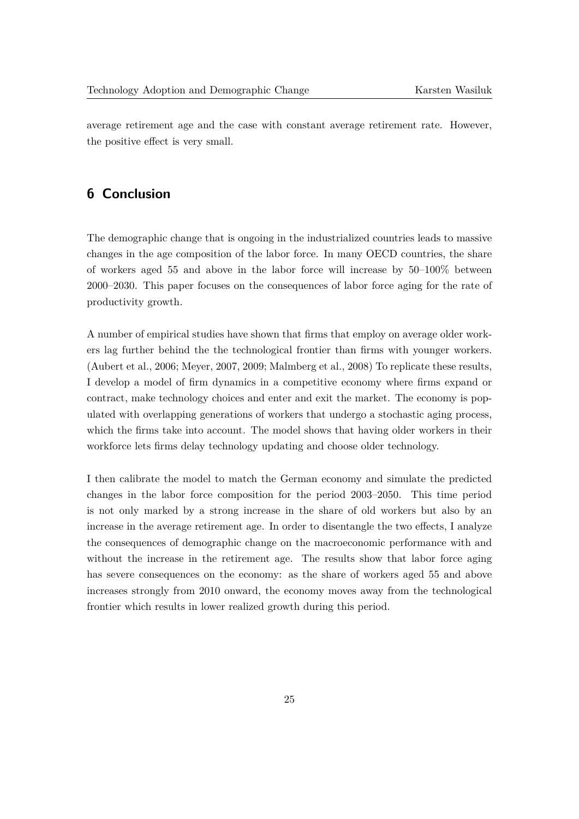average retirement age and the case with constant average retirement rate. However, the positive effect is very small.

# **6 Conclusion**

The demographic change that is ongoing in the industrialized countries leads to massive changes in the age composition of the labor force. In many OECD countries, the share of workers aged 55 and above in the labor force will increase by 50–100% between 2000–2030. This paper focuses on the consequences of labor force aging for the rate of productivity growth.

A number of empirical studies have shown that firms that employ on average older workers lag further behind the the technological frontier than firms with younger workers. [\(Aubert et al.,](#page-26-5) [2006;](#page-26-5) [Meyer,](#page-27-6) [2007,](#page-27-6) [2009;](#page-27-7) [Malmberg et al.,](#page-27-8) [2008\)](#page-27-8) To replicate these results, I develop a model of firm dynamics in a competitive economy where firms expand or contract, make technology choices and enter and exit the market. The economy is populated with overlapping generations of workers that undergo a stochastic aging process, which the firms take into account. The model shows that having older workers in their workforce lets firms delay technology updating and choose older technology.

I then calibrate the model to match the German economy and simulate the predicted changes in the labor force composition for the period 2003–2050. This time period is not only marked by a strong increase in the share of old workers but also by an increase in the average retirement age. In order to disentangle the two effects, I analyze the consequences of demographic change on the macroeconomic performance with and without the increase in the retirement age. The results show that labor force aging has severe consequences on the economy: as the share of workers aged 55 and above increases strongly from 2010 onward, the economy moves away from the technological frontier which results in lower realized growth during this period.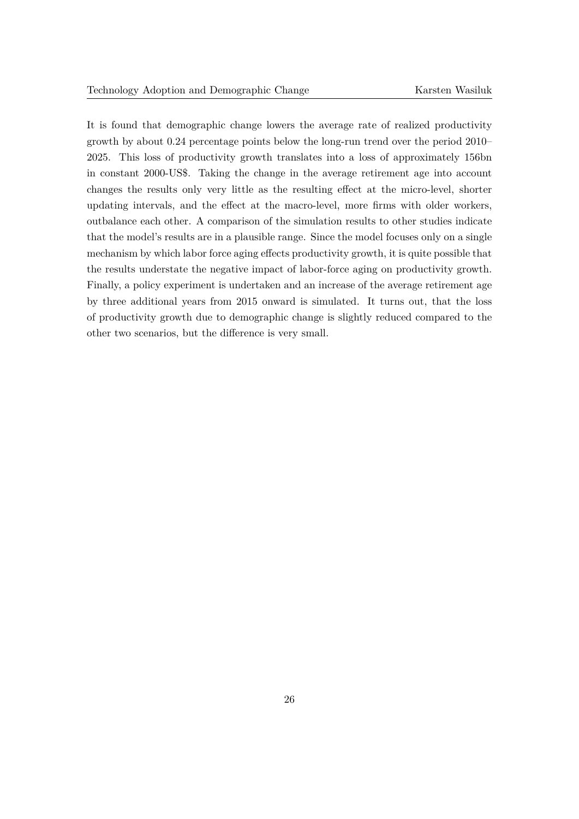It is found that demographic change lowers the average rate of realized productivity growth by about 0.24 percentage points below the long-run trend over the period 2010– 2025. This loss of productivity growth translates into a loss of approximately 156bn in constant 2000-US\$. Taking the change in the average retirement age into account changes the results only very little as the resulting effect at the micro-level, shorter updating intervals, and the effect at the macro-level, more firms with older workers, outbalance each other. A comparison of the simulation results to other studies indicate that the model's results are in a plausible range. Since the model focuses only on a single mechanism by which labor force aging effects productivity growth, it is quite possible that the results understate the negative impact of labor-force aging on productivity growth. Finally, a policy experiment is undertaken and an increase of the average retirement age by three additional years from 2015 onward is simulated. It turns out, that the loss of productivity growth due to demographic change is slightly reduced compared to the other two scenarios, but the difference is very small.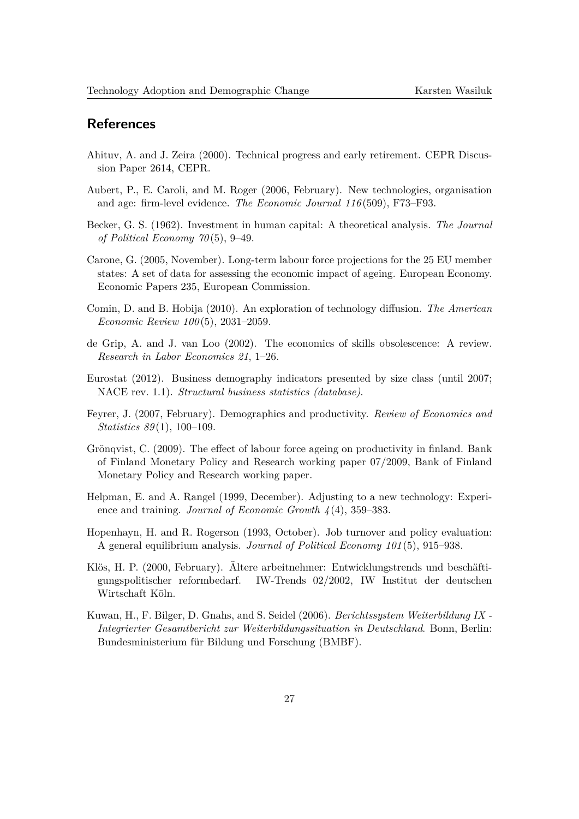# **References**

- <span id="page-26-4"></span>Ahituv, A. and J. Zeira (2000). Technical progress and early retirement. CEPR Discussion Paper 2614, CEPR.
- <span id="page-26-5"></span>Aubert, P., E. Caroli, and M. Roger (2006, February). New technologies, organisation and age: firm-level evidence. *The Economic Journal 116* (509), F73–F93.
- <span id="page-26-8"></span>Becker, G. S. (1962). Investment in human capital: A theoretical analysis. *The Journal of Political Economy 70* (5), 9–49.
- <span id="page-26-9"></span>Carone, G. (2005, November). Long-term labour force projections for the 25 EU member states: A set of data for assessing the economic impact of ageing. European Economy. Economic Papers 235, European Commission.
- <span id="page-26-11"></span>Comin, D. and B. Hobija (2010). An exploration of technology diffusion. *The American Economic Review 100* (5), 2031–2059.
- <span id="page-26-2"></span>de Grip, A. and J. van Loo (2002). The economics of skills obsolescence: A review. *Research in Labor Economics 21*, 1–26.
- <span id="page-26-10"></span>Eurostat (2012). Business demography indicators presented by size class (until 2007; NACE rev. 1.1). *Structural business statistics (database)*.
- <span id="page-26-0"></span>Feyrer, J. (2007, February). Demographics and productivity. *Review of Economics and Statistics 89* (1), 100–109.
- <span id="page-26-1"></span>Grönqvist, C. (2009). The effect of labour force ageing on productivity in finland. Bank of Finland Monetary Policy and Research working paper 07/2009, Bank of Finland Monetary Policy and Research working paper.
- <span id="page-26-7"></span>Helpman, E. and A. Rangel (1999, December). Adjusting to a new technology: Experience and training. *Journal of Economic Growth 4* (4), 359–383.
- <span id="page-26-6"></span>Hopenhayn, H. and R. Rogerson (1993, October). Job turnover and policy evaluation: A general equilibrium analysis. *Journal of Political Economy 101* (5), 915–938.
- <span id="page-26-3"></span>Klös, H. P. (2000, February). Ältere arbeitnehmer: Entwicklungstrends und beschäftigungspolitischer reformbedarf. IW-Trends 02/2002, IW Institut der deutschen Wirtschaft Köln.
- <span id="page-26-12"></span>Kuwan, H., F. Bilger, D. Gnahs, and S. Seidel (2006). *Berichtssystem Weiterbildung IX - Integrierter Gesamtbericht zur Weiterbildungssituation in Deutschland*. Bonn, Berlin: Bundesministerium für Bildung und Forschung (BMBF).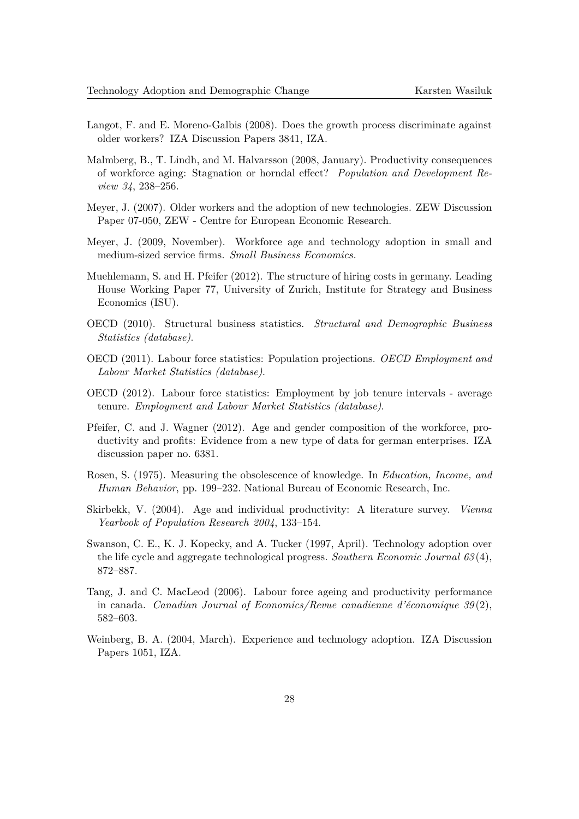- <span id="page-27-5"></span>Langot, F. and E. Moreno-Galbis (2008). Does the growth process discriminate against older workers? IZA Discussion Papers 3841, IZA.
- <span id="page-27-8"></span>Malmberg, B., T. Lindh, and M. Halvarsson (2008, January). Productivity consequences of workforce aging: Stagnation or horndal effect? *Population and Development Review 34*, 238–256.
- <span id="page-27-6"></span>Meyer, J. (2007). Older workers and the adoption of new technologies. ZEW Discussion Paper 07-050, ZEW - Centre for European Economic Research.
- <span id="page-27-7"></span>Meyer, J. (2009, November). Workforce age and technology adoption in small and medium-sized service firms. *Small Business Economics*.
- <span id="page-27-11"></span>Muehlemann, S. and H. Pfeifer (2012). The structure of hiring costs in germany. Leading House Working Paper 77, University of Zurich, Institute for Strategy and Business Economics (ISU).
- <span id="page-27-13"></span>OECD (2010). Structural business statistics. *Structural and Demographic Business Statistics (database)*.
- <span id="page-27-9"></span>OECD (2011). Labour force statistics: Population projections. *OECD Employment and Labour Market Statistics (database)*.
- <span id="page-27-10"></span>OECD (2012). Labour force statistics: Employment by job tenure intervals - average tenure. *Employment and Labour Market Statistics (database)*.
- <span id="page-27-12"></span>Pfeifer, C. and J. Wagner (2012). Age and gender composition of the workforce, productivity and profits: Evidence from a new type of data for german enterprises. IZA discussion paper no. 6381.
- <span id="page-27-1"></span>Rosen, S. (1975). Measuring the obsolescence of knowledge. In *Education, Income, and Human Behavior*, pp. 199–232. National Bureau of Economic Research, Inc.
- <span id="page-27-2"></span>Skirbekk, V. (2004). Age and individual productivity: A literature survey. *Vienna Yearbook of Population Research 2004*, 133–154.
- <span id="page-27-4"></span>Swanson, C. E., K. J. Kopecky, and A. Tucker (1997, April). Technology adoption over the life cycle and aggregate technological progress. *Southern Economic Journal 63* (4), 872–887.
- <span id="page-27-0"></span>Tang, J. and C. MacLeod (2006). Labour force ageing and productivity performance in canada. *Canadian Journal of Economics/Revue canadienne d'économique 39*(2), 582–603.
- <span id="page-27-3"></span>Weinberg, B. A. (2004, March). Experience and technology adoption. IZA Discussion Papers 1051, IZA.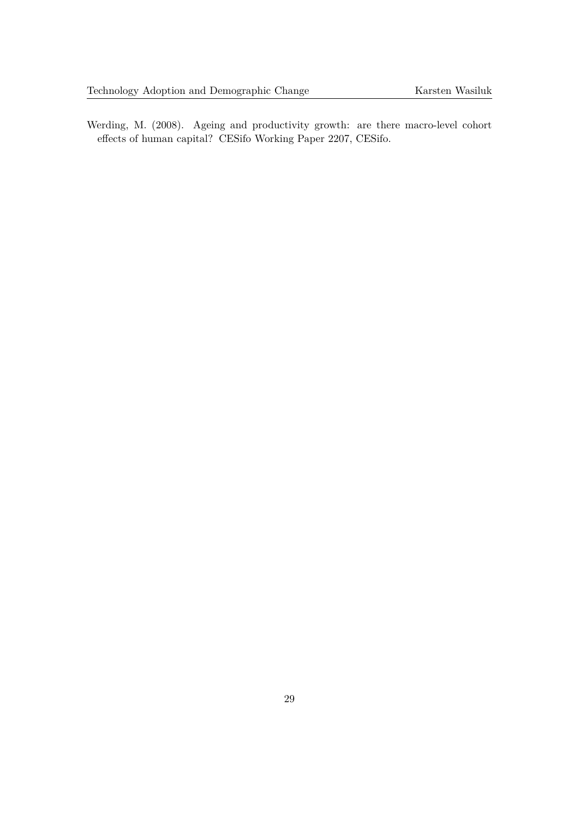<span id="page-28-0"></span>Werding, M. (2008). Ageing and productivity growth: are there macro-level cohort effects of human capital? CESifo Working Paper 2207, CESifo.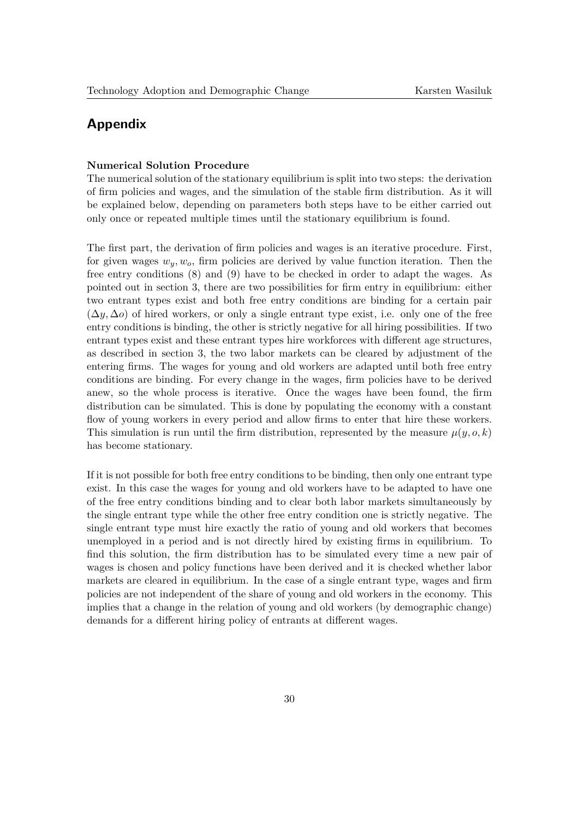# **Appendix**

## **Numerical Solution Procedure**

The numerical solution of the stationary equilibrium is split into two steps: the derivation of firm policies and wages, and the simulation of the stable firm distribution. As it will be explained below, depending on parameters both steps have to be either carried out only once or repeated multiple times until the stationary equilibrium is found.

The first part, the derivation of firm policies and wages is an iterative procedure. First, for given wages  $w_y, w_o$ , firm policies are derived by value function iteration. Then the free entry conditions [\(8\)](#page-8-0) and [\(9\)](#page-8-1) have to be checked in order to adapt the wages. As pointed out in section [3,](#page-6-0) there are two possibilities for firm entry in equilibrium: either two entrant types exist and both free entry conditions are binding for a certain pair  $(\Delta y, \Delta o)$  of hired workers, or only a single entrant type exist, i.e. only one of the free entry conditions is binding, the other is strictly negative for all hiring possibilities. If two entrant types exist and these entrant types hire workforces with different age structures, as described in section [3,](#page-6-0) the two labor markets can be cleared by adjustment of the entering firms. The wages for young and old workers are adapted until both free entry conditions are binding. For every change in the wages, firm policies have to be derived anew, so the whole process is iterative. Once the wages have been found, the firm distribution can be simulated. This is done by populating the economy with a constant flow of young workers in every period and allow firms to enter that hire these workers. This simulation is run until the firm distribution, represented by the measure  $\mu(y, o, k)$ has become stationary.

If it is not possible for both free entry conditions to be binding, then only one entrant type exist. In this case the wages for young and old workers have to be adapted to have one of the free entry conditions binding and to clear both labor markets simultaneously by the single entrant type while the other free entry condition one is strictly negative. The single entrant type must hire exactly the ratio of young and old workers that becomes unemployed in a period and is not directly hired by existing firms in equilibrium. To find this solution, the firm distribution has to be simulated every time a new pair of wages is chosen and policy functions have been derived and it is checked whether labor markets are cleared in equilibrium. In the case of a single entrant type, wages and firm policies are not independent of the share of young and old workers in the economy. This implies that a change in the relation of young and old workers (by demographic change) demands for a different hiring policy of entrants at different wages.